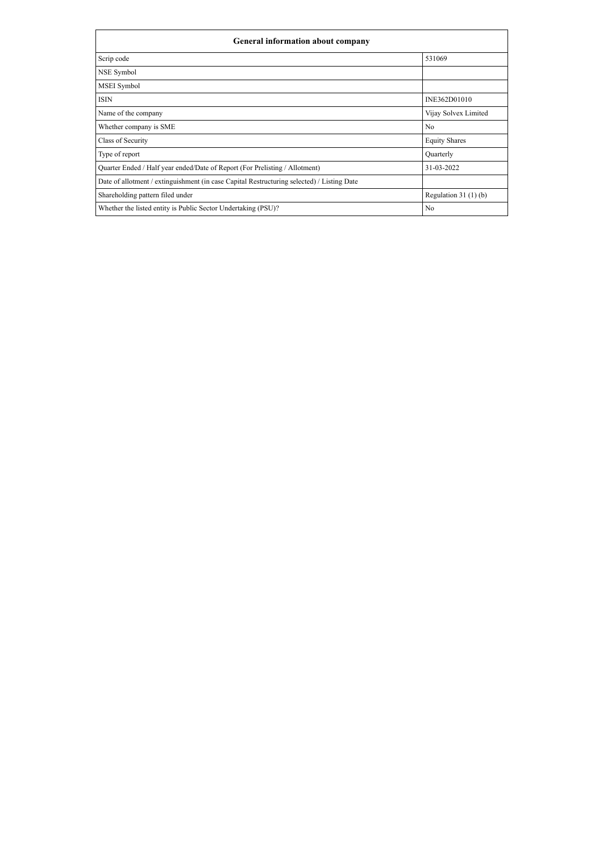| <b>General information about company</b>                                                   |                       |  |  |  |  |  |  |
|--------------------------------------------------------------------------------------------|-----------------------|--|--|--|--|--|--|
| Scrip code                                                                                 | 531069                |  |  |  |  |  |  |
| <b>NSE Symbol</b>                                                                          |                       |  |  |  |  |  |  |
| <b>MSEI</b> Symbol                                                                         |                       |  |  |  |  |  |  |
| <b>ISIN</b>                                                                                | INE362D01010          |  |  |  |  |  |  |
| Name of the company                                                                        | Vijay Solvex Limited  |  |  |  |  |  |  |
| Whether company is SME                                                                     | No                    |  |  |  |  |  |  |
| Class of Security                                                                          | <b>Equity Shares</b>  |  |  |  |  |  |  |
| Type of report                                                                             | Quarterly             |  |  |  |  |  |  |
| Quarter Ended / Half year ended/Date of Report (For Prelisting / Allotment)                | 31-03-2022            |  |  |  |  |  |  |
| Date of allotment / extinguishment (in case Capital Restructuring selected) / Listing Date |                       |  |  |  |  |  |  |
| Shareholding pattern filed under                                                           | Regulation $31(1)(b)$ |  |  |  |  |  |  |
| Whether the listed entity is Public Sector Undertaking (PSU)?                              | No                    |  |  |  |  |  |  |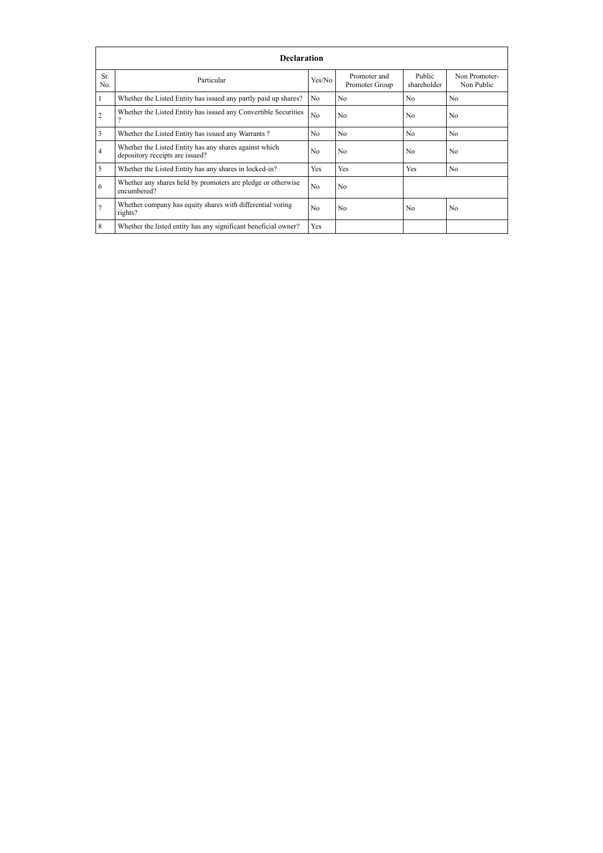|                | <b>Declaration</b>                                                                        |                |                                |                       |                             |  |  |  |  |  |  |  |
|----------------|-------------------------------------------------------------------------------------------|----------------|--------------------------------|-----------------------|-----------------------------|--|--|--|--|--|--|--|
| Sr.<br>No.     | Particular                                                                                | Yes/No         | Promoter and<br>Promoter Group | Public<br>shareholder | Non Promoter-<br>Non Public |  |  |  |  |  |  |  |
|                | Whether the Listed Entity has issued any partly paid up shares?                           | No             | N <sub>0</sub>                 | N <sub>0</sub>        | N <sub>0</sub>              |  |  |  |  |  |  |  |
| $\overline{2}$ | Whether the Listed Entity has issued any Convertible Securities                           | N <sub>0</sub> | N <sub>0</sub>                 | N <sub>0</sub>        | N <sub>0</sub>              |  |  |  |  |  |  |  |
| 3              | Whether the Listed Entity has issued any Warrants?                                        | No             | N <sub>0</sub>                 | N <sub>0</sub>        | N <sub>0</sub>              |  |  |  |  |  |  |  |
| $\overline{4}$ | Whether the Listed Entity has any shares against which<br>depository receipts are issued? | N <sub>0</sub> | N <sub>0</sub>                 | N <sub>0</sub>        | N <sub>0</sub>              |  |  |  |  |  |  |  |
| 5              | Whether the Listed Entity has any shares in locked-in?                                    | Yes            | Yes                            | Yes                   | N <sub>0</sub>              |  |  |  |  |  |  |  |
| 6              | Whether any shares held by promoters are pledge or otherwise<br>encumbered?               | N <sub>0</sub> | N <sub>0</sub>                 |                       |                             |  |  |  |  |  |  |  |
| $\overline{7}$ | Whether company has equity shares with differential voting<br>rights?                     | N <sub>0</sub> | N <sub>0</sub>                 | N <sub>0</sub>        | N <sub>0</sub>              |  |  |  |  |  |  |  |
| 8              | Whether the listed entity has any significant beneficial owner?                           | Yes            |                                |                       |                             |  |  |  |  |  |  |  |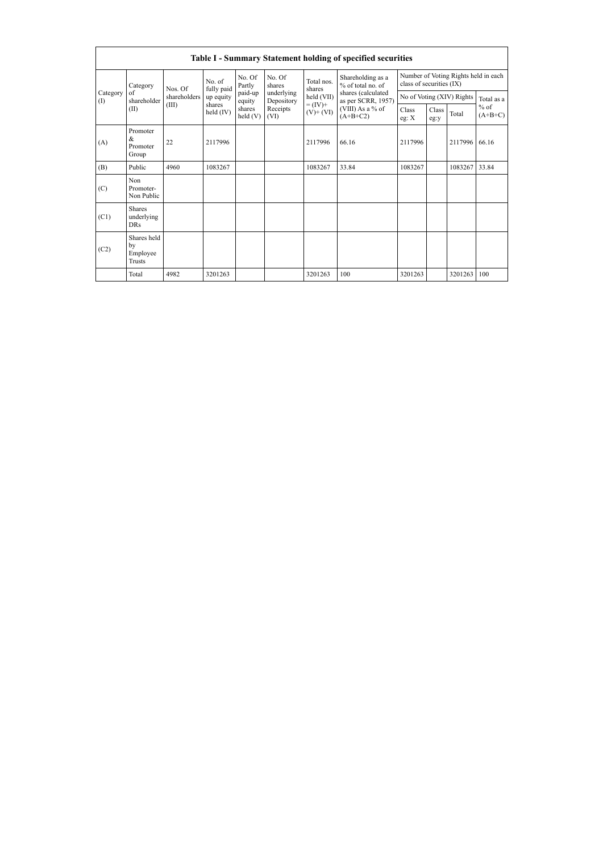|                 | Table I - Summary Statement holding of specified securities |              |                       |                   |                          |                              |                                          |                                                                  |               |                           |                     |  |  |
|-----------------|-------------------------------------------------------------|--------------|-----------------------|-------------------|--------------------------|------------------------------|------------------------------------------|------------------------------------------------------------------|---------------|---------------------------|---------------------|--|--|
| Category<br>(I) | Category                                                    | Nos. Of      | No. of<br>fully paid  | No. Of<br>Partly  | No. Of<br>shares         | Total nos<br>shares          | Shareholding as a<br>$%$ of total no of  | Number of Voting Rights held in each<br>class of securities (IX) |               |                           |                     |  |  |
|                 | of<br>shareholder                                           | shareholders | up equity             | paid-up<br>equity | underlying<br>Depository | held (VII)                   | shares (calculated<br>as per SCRR, 1957) |                                                                  |               | No of Voting (XIV) Rights | Total as a          |  |  |
|                 | (II)                                                        | (III)        | shares<br>held $(IV)$ | shares<br>held(V) | Receipts<br>(VI)         | $= (IV) +$<br>$(V)$ + $(VI)$ | (VIII) As a % of<br>$(A+B+C2)$           | Class<br>eg: $X$                                                 | Class<br>eg:y | Total                     | $%$ of<br>$(A+B+C)$ |  |  |
| (A)             | Promoter<br>&<br>Promoter<br>Group                          | 22           | 2117996               |                   |                          | 2117996                      | 66.16                                    | 2117996                                                          |               | 2117996                   | 66.16               |  |  |
| (B)             | Public                                                      | 4960         | 1083267               |                   |                          | 1083267                      | 33.84                                    | 1083267                                                          |               | 1083267                   | 33.84               |  |  |
| (C)             | Non<br>Promoter-<br>Non Public                              |              |                       |                   |                          |                              |                                          |                                                                  |               |                           |                     |  |  |
| (C1)            | <b>Shares</b><br>underlying<br><b>DRs</b>                   |              |                       |                   |                          |                              |                                          |                                                                  |               |                           |                     |  |  |
| (C2)            | Shares held<br>by<br>Employee<br>Trusts                     |              |                       |                   |                          |                              |                                          |                                                                  |               |                           |                     |  |  |
|                 | Total                                                       | 4982         | 3201263               |                   |                          | 3201263                      | 100                                      | 3201263                                                          |               | 3201263                   | 100                 |  |  |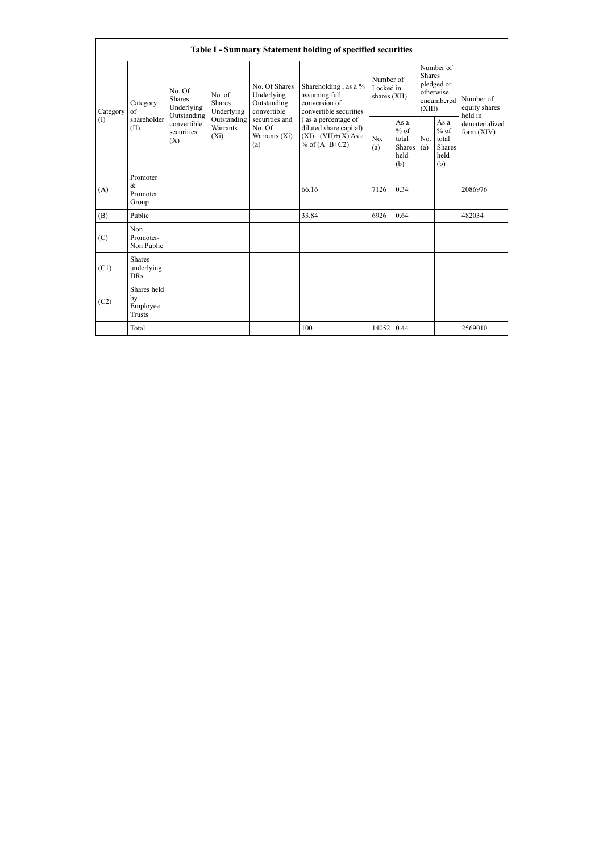| <b>Table I - Summary Statement holding of specified securities</b> |                                                |                                                                                          |                                                                             |                                                                                                               |                                                                                                                                                                               |                                        |                                                  |                                                                               |                                                  |                                       |  |  |
|--------------------------------------------------------------------|------------------------------------------------|------------------------------------------------------------------------------------------|-----------------------------------------------------------------------------|---------------------------------------------------------------------------------------------------------------|-------------------------------------------------------------------------------------------------------------------------------------------------------------------------------|----------------------------------------|--------------------------------------------------|-------------------------------------------------------------------------------|--------------------------------------------------|---------------------------------------|--|--|
| Category<br>(1)                                                    | Category<br>of<br>shareholder<br>(II)          | No. Of<br><b>Shares</b><br>Underlying<br>Outstanding<br>convertible<br>securities<br>(X) | No. of<br><b>Shares</b><br>Underlying<br>Outstanding<br>Warrants<br>$(X_i)$ | No. Of Shares<br>Underlying<br>Outstanding<br>convertible<br>securities and<br>No. Of<br>Warrants (Xi)<br>(a) | Shareholding, as a %<br>assuming full<br>conversion of<br>convertible securities<br>(as a percentage of<br>diluted share capital)<br>$(XI)=(VII)+(X) As a$<br>% of $(A+B+C2)$ | Number of<br>Locked in<br>shares (XII) |                                                  | Number of<br><b>Shares</b><br>pledged or<br>otherwise<br>encumbered<br>(XIII) |                                                  | Number of<br>equity shares<br>held in |  |  |
|                                                                    |                                                |                                                                                          |                                                                             |                                                                                                               |                                                                                                                                                                               | N <sub>0</sub><br>(a)                  | As a<br>$%$ of<br>total<br>Shares<br>held<br>(b) | No.<br>(a)                                                                    | As a<br>$%$ of<br>total<br>Shares<br>held<br>(b) | dematerialized<br>form $(XIV)$        |  |  |
| (A)                                                                | Promoter<br>&<br>Promoter<br>Group             |                                                                                          |                                                                             |                                                                                                               | 66.16                                                                                                                                                                         | 7126                                   | 0.34                                             |                                                                               |                                                  | 2086976                               |  |  |
| (B)                                                                | Public                                         |                                                                                          |                                                                             |                                                                                                               | 33.84                                                                                                                                                                         | 6926                                   | 0.64                                             |                                                                               |                                                  | 482034                                |  |  |
| (C)                                                                | Non<br>Promoter-<br>Non Public                 |                                                                                          |                                                                             |                                                                                                               |                                                                                                                                                                               |                                        |                                                  |                                                                               |                                                  |                                       |  |  |
| (C1)                                                               | <b>Shares</b><br>underlying<br><b>DRs</b>      |                                                                                          |                                                                             |                                                                                                               |                                                                                                                                                                               |                                        |                                                  |                                                                               |                                                  |                                       |  |  |
| (C2)                                                               | Shares held<br>by<br>Employee<br><b>Trusts</b> |                                                                                          |                                                                             |                                                                                                               |                                                                                                                                                                               |                                        |                                                  |                                                                               |                                                  |                                       |  |  |
|                                                                    | Total                                          |                                                                                          |                                                                             |                                                                                                               | 100                                                                                                                                                                           | 14052                                  | 0.44                                             |                                                                               |                                                  | 2569010                               |  |  |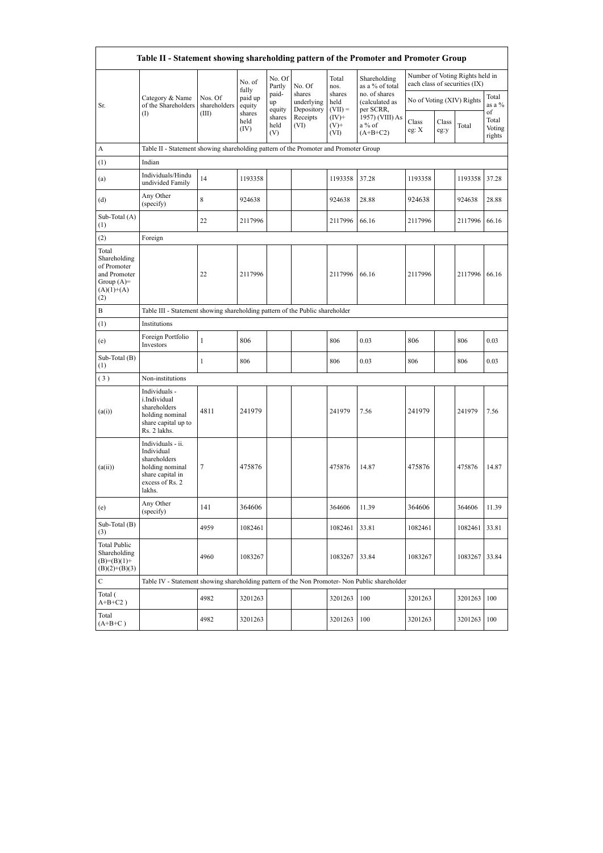| Table II - Statement showing shareholding pattern of the Promoter and Promoter Group        |                                                                                                                     |                         |                            |                       |                                    |                             |                                              |                           |               |                                                                  |                                 |  |  |
|---------------------------------------------------------------------------------------------|---------------------------------------------------------------------------------------------------------------------|-------------------------|----------------------------|-----------------------|------------------------------------|-----------------------------|----------------------------------------------|---------------------------|---------------|------------------------------------------------------------------|---------------------------------|--|--|
|                                                                                             |                                                                                                                     |                         | No. of                     | No. Of<br>Partly      | No. Of                             | Total<br>nos.               | Shareholding<br>as a % of total              |                           |               | Number of Voting Rights held in<br>each class of securities (IX) |                                 |  |  |
| Sr.                                                                                         | Category & Name<br>of the Shareholders<br>(1)                                                                       | Nos. Of<br>shareholders | fully<br>paid up<br>equity | paid-<br>up<br>equity | shares<br>underlying<br>Depository | shares<br>held<br>$(VII) =$ | no. of shares<br>(calculated as<br>per SCRR, | No of Voting (XIV) Rights |               |                                                                  | Total<br>as a %                 |  |  |
|                                                                                             |                                                                                                                     | (III)                   | shares<br>held<br>(IV)     | shares<br>held<br>(V) | Receipts<br>(VI)                   | $(IV)+$<br>$(V)$ +<br>(VI)  | 1957) (VIII) As<br>a % of<br>$(A+B+C2)$      | Class<br>eg: X            | Class<br>eg:y | Total                                                            | of<br>Total<br>Voting<br>rights |  |  |
| A                                                                                           | Table II - Statement showing shareholding pattern of the Promoter and Promoter Group                                |                         |                            |                       |                                    |                             |                                              |                           |               |                                                                  |                                 |  |  |
| (1)                                                                                         | Indian                                                                                                              |                         |                            |                       |                                    |                             |                                              |                           |               |                                                                  |                                 |  |  |
| (a)                                                                                         | Individuals/Hindu<br>undivided Family                                                                               | 14                      | 1193358                    |                       |                                    | 1193358                     | 37.28                                        | 1193358                   |               | 1193358                                                          | 37.28                           |  |  |
| (d)                                                                                         | Any Other<br>(specify)                                                                                              | 8                       | 924638                     |                       |                                    | 924638                      | 28.88                                        | 924638                    |               | 924638                                                           | 28.88                           |  |  |
| Sub-Total (A)<br>(1)                                                                        |                                                                                                                     | 22                      | 2117996                    |                       |                                    | 2117996                     | 66.16                                        | 2117996                   |               | 2117996                                                          | 66.16                           |  |  |
| (2)                                                                                         | Foreign                                                                                                             |                         |                            |                       |                                    |                             |                                              |                           |               |                                                                  |                                 |  |  |
| Total<br>Shareholding<br>of Promoter<br>and Promoter<br>Group $(A)=$<br>$(A)(1)+(A)$<br>(2) |                                                                                                                     | 22                      | 2117996                    |                       |                                    | 2117996                     | 66.16                                        | 2117996                   |               | 2117996                                                          | 66.16                           |  |  |
| B                                                                                           | Table III - Statement showing shareholding pattern of the Public shareholder                                        |                         |                            |                       |                                    |                             |                                              |                           |               |                                                                  |                                 |  |  |
| (1)                                                                                         | Institutions                                                                                                        |                         |                            |                       |                                    |                             |                                              |                           |               |                                                                  |                                 |  |  |
| (e)                                                                                         | Foreign Portfolio<br>Investors                                                                                      | $\mathbf{1}$            | 806                        |                       |                                    | 806                         | 0.03                                         | 806                       |               | 806                                                              | 0.03                            |  |  |
| Sub-Total (B)<br>(1)                                                                        |                                                                                                                     | 1                       | 806                        |                       |                                    | 806                         | 0.03                                         | 806                       |               | 806                                                              | 0.03                            |  |  |
| (3)                                                                                         | Non-institutions                                                                                                    |                         |                            |                       |                                    |                             |                                              |                           |               |                                                                  |                                 |  |  |
| (a(i))                                                                                      | Individuals -<br>i.Individual<br>shareholders<br>holding nominal<br>share capital up to<br>Rs. 2 lakhs.             | 4811                    | 241979                     |                       |                                    | 241979                      | 7.56                                         | 241979                    |               | 241979                                                           | 7.56                            |  |  |
| (a(ii))                                                                                     | Individuals - ii.<br>Individual<br>shareholders<br>holding nominal<br>share capital in<br>excess of Rs. 2<br>lakhs. | 7                       | 475876                     |                       |                                    | 475876                      | 14.87                                        | 475876                    |               | 475876                                                           | 14.87                           |  |  |
| (e)                                                                                         | Any Other<br>(specify)                                                                                              | 141                     | 364606                     |                       |                                    | 364606                      | 11.39                                        | 364606                    |               | 364606                                                           | 11.39                           |  |  |
| Sub-Total (B)<br>(3)                                                                        |                                                                                                                     | 4959                    | 1082461                    |                       |                                    | 1082461                     | 33.81                                        | 1082461                   |               | 1082461                                                          | 33.81                           |  |  |
| <b>Total Public</b><br>Shareholding<br>$(B)=(B)(1)+$<br>$(B)(2)+(B)(3)$                     |                                                                                                                     | 4960                    | 1083267                    |                       |                                    | 1083267                     | 33.84                                        | 1083267                   |               | 1083267                                                          | 33.84                           |  |  |
| С                                                                                           | Table IV - Statement showing shareholding pattern of the Non Promoter- Non Public shareholder                       |                         |                            |                       |                                    |                             |                                              |                           |               |                                                                  |                                 |  |  |
| Total (<br>$A+B+C2$ )                                                                       |                                                                                                                     | 4982                    | 3201263                    |                       |                                    | 3201263                     | 100                                          | 3201263                   |               | 3201263                                                          | 100                             |  |  |
| Total<br>$(A+B+C)$                                                                          |                                                                                                                     | 4982                    | 3201263                    |                       |                                    | 3201263                     | 100                                          | 3201263                   |               | 3201263                                                          | 100                             |  |  |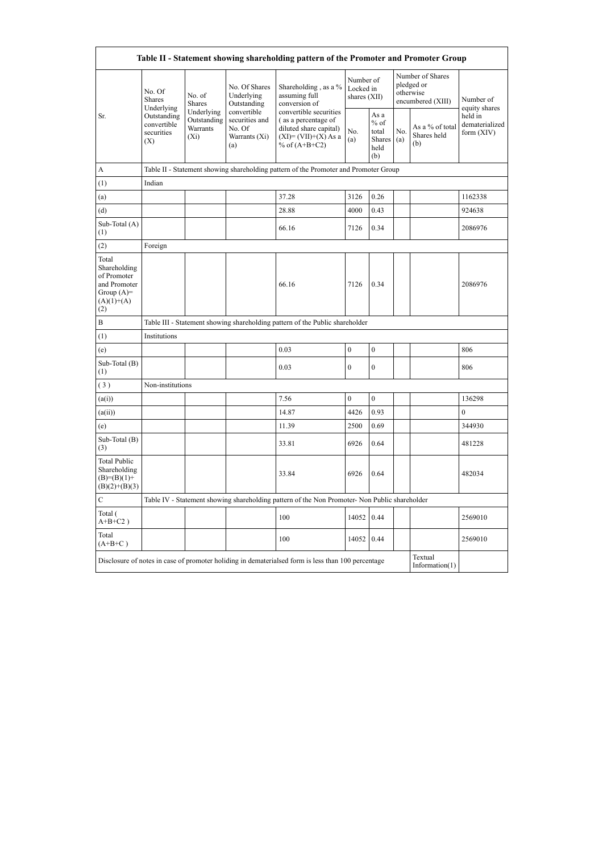| Table II - Statement showing shareholding pattern of the Promoter and Promoter Group        |                                                                                          |                                                  |                                                                 |                                                                                                                     |                                        |                                                  |            |                                                                  |                                         |  |  |  |  |
|---------------------------------------------------------------------------------------------|------------------------------------------------------------------------------------------|--------------------------------------------------|-----------------------------------------------------------------|---------------------------------------------------------------------------------------------------------------------|----------------------------------------|--------------------------------------------------|------------|------------------------------------------------------------------|-----------------------------------------|--|--|--|--|
|                                                                                             | No. Of<br><b>Shares</b><br>Underlying<br>Outstanding<br>convertible<br>securities<br>(X) | No. of<br><b>Shares</b>                          | No. Of Shares<br>Underlying<br>Outstanding                      | Shareholding, as a %<br>assuming full<br>conversion of                                                              | Number of<br>Locked in<br>shares (XII) |                                                  |            | Number of Shares<br>pledged or<br>otherwise<br>encumbered (XIII) | Number of<br>equity shares              |  |  |  |  |
| Sr.                                                                                         |                                                                                          | Underlying<br>Outstanding<br>Warrants<br>$(X_i)$ | convertible<br>securities and<br>No. Of<br>Warrants (Xi)<br>(a) | convertible securities<br>(as a percentage of<br>diluted share capital)<br>$(XI)=(VII)+(X) As a$<br>% of $(A+B+C2)$ | No.<br>(a)                             | As a<br>$%$ of<br>total<br>Shares<br>held<br>(b) | No.<br>(a) | As a % of total<br>Shares held<br>(b)                            | held in<br>dematerialized<br>form (XIV) |  |  |  |  |
| A                                                                                           |                                                                                          |                                                  |                                                                 | Table II - Statement showing shareholding pattern of the Promoter and Promoter Group                                |                                        |                                                  |            |                                                                  |                                         |  |  |  |  |
| (1)                                                                                         | Indian                                                                                   |                                                  |                                                                 |                                                                                                                     |                                        |                                                  |            |                                                                  |                                         |  |  |  |  |
| (a)                                                                                         |                                                                                          |                                                  |                                                                 | 37.28                                                                                                               | 3126                                   | 0.26                                             |            |                                                                  | 1162338                                 |  |  |  |  |
| (d)                                                                                         |                                                                                          |                                                  |                                                                 | 28.88                                                                                                               | 4000                                   | 0.43                                             |            |                                                                  | 924638                                  |  |  |  |  |
| Sub-Total (A)<br>(1)                                                                        |                                                                                          |                                                  |                                                                 | 66.16                                                                                                               | 7126                                   | 0.34                                             |            |                                                                  | 2086976                                 |  |  |  |  |
| (2)                                                                                         | Foreign                                                                                  |                                                  |                                                                 |                                                                                                                     |                                        |                                                  |            |                                                                  |                                         |  |  |  |  |
| Total<br>Shareholding<br>of Promoter<br>and Promoter<br>Group $(A)=$<br>$(A)(1)+(A)$<br>(2) |                                                                                          |                                                  |                                                                 | 66.16                                                                                                               | 7126                                   | 0.34                                             |            |                                                                  | 2086976                                 |  |  |  |  |
| $\overline{B}$                                                                              |                                                                                          |                                                  |                                                                 | Table III - Statement showing shareholding pattern of the Public shareholder                                        |                                        |                                                  |            |                                                                  |                                         |  |  |  |  |
| (1)                                                                                         | Institutions                                                                             |                                                  |                                                                 |                                                                                                                     |                                        |                                                  |            |                                                                  |                                         |  |  |  |  |
| (e)                                                                                         |                                                                                          |                                                  |                                                                 | 0.03                                                                                                                | $\boldsymbol{0}$                       | $\mathbf{0}$                                     |            |                                                                  | 806                                     |  |  |  |  |
| Sub-Total (B)<br>(1)                                                                        |                                                                                          |                                                  |                                                                 | 0.03                                                                                                                | $\mathbf{0}$                           | $\mathbf{0}$                                     |            |                                                                  | 806                                     |  |  |  |  |
| (3)                                                                                         | Non-institutions                                                                         |                                                  |                                                                 |                                                                                                                     |                                        |                                                  |            |                                                                  |                                         |  |  |  |  |
| (a(i))                                                                                      |                                                                                          |                                                  |                                                                 | 7.56                                                                                                                | $\mathbf{0}$                           | $\mathbf{0}$                                     |            |                                                                  | 136298                                  |  |  |  |  |
| (a(ii))                                                                                     |                                                                                          |                                                  |                                                                 | 14.87                                                                                                               | 4426                                   | 0.93                                             |            |                                                                  | $\boldsymbol{0}$                        |  |  |  |  |
| (e)                                                                                         |                                                                                          |                                                  |                                                                 | 11.39                                                                                                               | 2500                                   | 0.69                                             |            |                                                                  | 344930                                  |  |  |  |  |
| Sub-Total (B)<br>(3)                                                                        |                                                                                          |                                                  |                                                                 | 33.81                                                                                                               | 6926                                   | 0.64                                             |            |                                                                  | 481228                                  |  |  |  |  |
| <b>Total Public</b><br>Shareholding<br>$(B)= (B)(1) +$<br>$(B)(2)+(B)(3)$                   |                                                                                          |                                                  |                                                                 | 33.84                                                                                                               | 6926                                   | 0.64                                             |            |                                                                  | 482034                                  |  |  |  |  |
| $\mathcal{C}$                                                                               |                                                                                          |                                                  |                                                                 | Table IV - Statement showing shareholding pattern of the Non Promoter- Non Public shareholder                       |                                        |                                                  |            |                                                                  |                                         |  |  |  |  |
| Total (<br>$A+B+C2$ )                                                                       |                                                                                          |                                                  |                                                                 | 100                                                                                                                 | 14052                                  | 0.44                                             |            |                                                                  | 2569010                                 |  |  |  |  |
| Total<br>$(A+B+C)$                                                                          |                                                                                          |                                                  |                                                                 | 100                                                                                                                 | 14052                                  | 0.44                                             |            |                                                                  | 2569010                                 |  |  |  |  |
|                                                                                             |                                                                                          |                                                  |                                                                 | Disclosure of notes in case of promoter holiding in dematerialsed form is less than 100 percentage                  |                                        |                                                  |            | Textual<br>Information $(1)$                                     |                                         |  |  |  |  |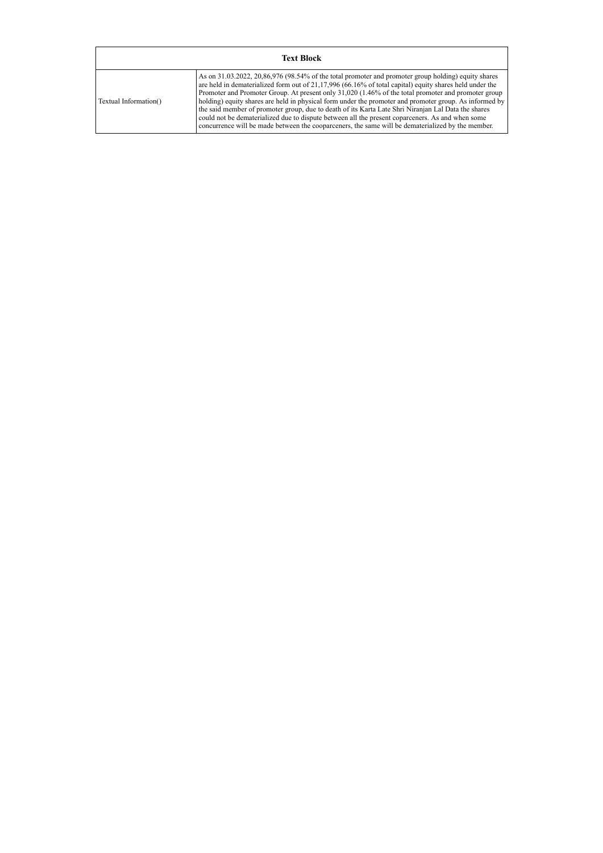| <b>Text Block</b>     |                                                                                                                                                                                                                                                                                                                                                                                                                                                                                                                                                                                                                                                                                                                                                   |  |  |  |  |  |  |
|-----------------------|---------------------------------------------------------------------------------------------------------------------------------------------------------------------------------------------------------------------------------------------------------------------------------------------------------------------------------------------------------------------------------------------------------------------------------------------------------------------------------------------------------------------------------------------------------------------------------------------------------------------------------------------------------------------------------------------------------------------------------------------------|--|--|--|--|--|--|
| Textual Information() | As on 31.03.2022, 20,86,976 (98.54% of the total promoter and promoter group holding) equity shares<br>are held in dematerialized form out of $21,17,996$ (66.16% of total capital) equity shares held under the<br>Promoter and Promoter Group. At present only 31,020 (1.46% of the total promoter and promoter group<br>holding) equity shares are held in physical form under the promoter and promoter group. As informed by<br>the said member of promoter group, due to death of its Karta Late Shri Niranjan Lal Data the shares<br>could not be dematerialized due to dispute between all the present coparceners. As and when some<br>concurrence will be made between the cooparceners, the same will be dematerialized by the member. |  |  |  |  |  |  |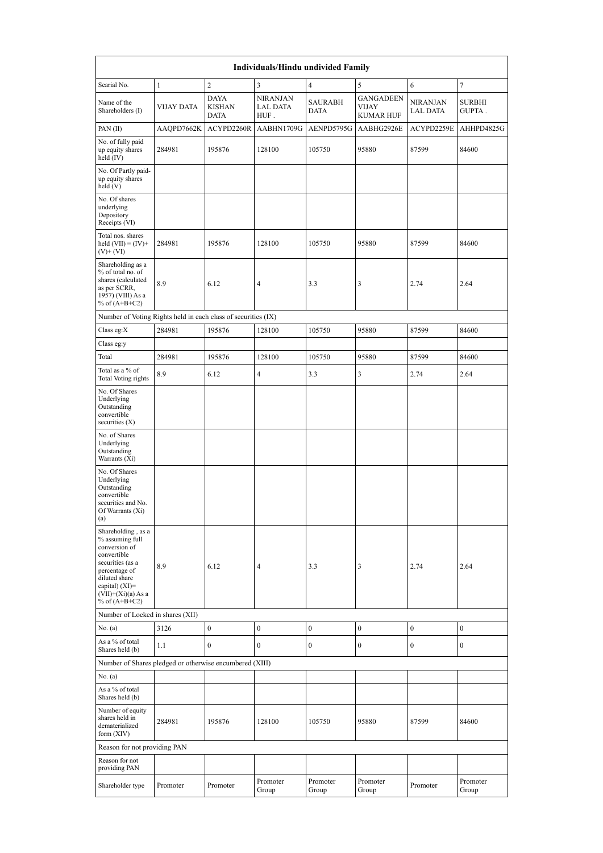| Individuals/Hindu undivided Family                                                                                                                                                       |                   |                                             |                                            |                               |                                               |                             |                         |  |  |  |  |
|------------------------------------------------------------------------------------------------------------------------------------------------------------------------------------------|-------------------|---------------------------------------------|--------------------------------------------|-------------------------------|-----------------------------------------------|-----------------------------|-------------------------|--|--|--|--|
| Searial No.                                                                                                                                                                              | $\mathbf{1}$      | $\overline{c}$                              | 3                                          | $\overline{4}$                | 5                                             | 6                           | $\overline{7}$          |  |  |  |  |
| Name of the<br>Shareholders (I)                                                                                                                                                          | <b>VIJAY DATA</b> | <b>DAYA</b><br><b>KISHAN</b><br><b>DATA</b> | <b>NIRANJAN</b><br><b>LAL DATA</b><br>HUF. | <b>SAURABH</b><br><b>DATA</b> | <b>GANGADEEN</b><br>VIJAY<br><b>KUMAR HUF</b> | <b>NIRANJAN</b><br>LAL DATA | <b>SURBHI</b><br>GUPTA. |  |  |  |  |
| PAN(II)                                                                                                                                                                                  | AAQPD7662K        | ACYPD2260R                                  | AABHN1709G                                 | AENPD5795G                    | AABHG2926E                                    | ACYPD2259E                  | AHHPD4825G              |  |  |  |  |
| No. of fully paid<br>up equity shares<br>held (IV)                                                                                                                                       | 284981            | 195876                                      | 128100                                     | 105750                        | 95880                                         | 87599                       | 84600                   |  |  |  |  |
| No. Of Partly paid-<br>up equity shares<br>held(V)                                                                                                                                       |                   |                                             |                                            |                               |                                               |                             |                         |  |  |  |  |
| No. Of shares<br>underlying<br>Depository<br>Receipts (VI)                                                                                                                               |                   |                                             |                                            |                               |                                               |                             |                         |  |  |  |  |
| Total nos. shares<br>held $(VII) = (IV) +$<br>$(V)+(VI)$                                                                                                                                 | 284981            | 195876                                      | 128100                                     | 105750                        | 95880                                         | 87599                       | 84600                   |  |  |  |  |
| Shareholding as a<br>% of total no. of<br>shares (calculated<br>as per SCRR,<br>1957) (VIII) As a<br>% of $(A+B+C2)$                                                                     | 8.9               | 6.12                                        | $\overline{4}$                             | 3.3                           | 3                                             | 2.74                        | 2.64                    |  |  |  |  |
| Number of Voting Rights held in each class of securities (IX)                                                                                                                            |                   |                                             |                                            |                               |                                               |                             |                         |  |  |  |  |
| Class eg:X                                                                                                                                                                               | 284981            | 195876                                      | 128100                                     | 105750                        | 95880                                         | 87599                       | 84600                   |  |  |  |  |
| Class eg:y                                                                                                                                                                               |                   |                                             |                                            |                               |                                               |                             |                         |  |  |  |  |
| Total                                                                                                                                                                                    | 284981            | 195876                                      | 128100                                     | 105750                        | 95880                                         | 87599                       | 84600                   |  |  |  |  |
| Total as a % of<br><b>Total Voting rights</b>                                                                                                                                            | 8.9               | 6.12                                        | $\overline{4}$                             | 3.3                           | 3                                             | 2.74                        | 2.64                    |  |  |  |  |
| No. Of Shares<br>Underlying<br>Outstanding<br>convertible<br>securities (X)                                                                                                              |                   |                                             |                                            |                               |                                               |                             |                         |  |  |  |  |
| No. of Shares<br>Underlying<br>Outstanding<br>Warrants (Xi)                                                                                                                              |                   |                                             |                                            |                               |                                               |                             |                         |  |  |  |  |
| No. Of Shares<br>Underlying<br>Outstanding<br>convertible<br>securities and No.<br>Of Warrants $(X_1)$<br>(a)                                                                            |                   |                                             |                                            |                               |                                               |                             |                         |  |  |  |  |
| Shareholding, as a<br>% assuming full<br>conversion of<br>convertible<br>securities (as a<br>percentage of<br>diluted share<br>capital) (XI)=<br>$(VII)+(Xi)(a)$ As a<br>% of $(A+B+C2)$ | 8.9               | 6.12                                        | 4                                          | 3.3                           | 3                                             | 2.74                        | 2.64                    |  |  |  |  |
| Number of Locked in shares (XII)                                                                                                                                                         |                   |                                             |                                            |                               |                                               |                             |                         |  |  |  |  |
| No. (a)                                                                                                                                                                                  | 3126              | $\mathbf{0}$                                | $\boldsymbol{0}$                           | $\boldsymbol{0}$              | $\mathbf{0}$                                  | $\boldsymbol{0}$            | $\boldsymbol{0}$        |  |  |  |  |
| As a % of total<br>Shares held (b)                                                                                                                                                       | 1.1               | $\overline{0}$                              | $\mathbf{0}$                               | $\boldsymbol{0}$              | $\overline{0}$                                | $\bf{0}$                    | $\boldsymbol{0}$        |  |  |  |  |
| Number of Shares pledged or otherwise encumbered (XIII)                                                                                                                                  |                   |                                             |                                            |                               |                                               |                             |                         |  |  |  |  |
| No. (a)<br>As a % of total                                                                                                                                                               |                   |                                             |                                            |                               |                                               |                             |                         |  |  |  |  |
| Shares held (b)                                                                                                                                                                          |                   |                                             |                                            |                               |                                               |                             |                         |  |  |  |  |
| Number of equity<br>shares held in<br>dematerialized<br>form (XIV)                                                                                                                       | 284981            | 195876                                      | 128100                                     | 105750                        | 95880                                         | 87599                       | 84600                   |  |  |  |  |
| Reason for not providing PAN                                                                                                                                                             |                   |                                             |                                            |                               |                                               |                             |                         |  |  |  |  |
| Reason for not<br>providing PAN                                                                                                                                                          |                   |                                             |                                            |                               |                                               |                             |                         |  |  |  |  |
| Shareholder type                                                                                                                                                                         | Promoter          | Promoter                                    | Promoter<br>Group                          | Promoter<br>Group             | Promoter<br>Group                             | Promoter                    | Promoter<br>Group       |  |  |  |  |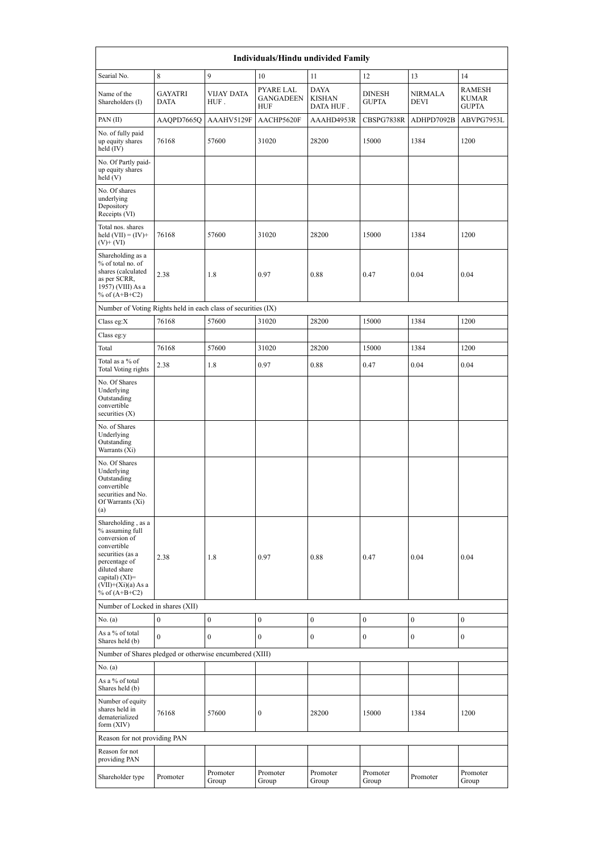| Individuals/Hindu undivided Family                                                                                                                                                       |                               |                           |                                      |                                           |                               |                               |                                               |  |  |  |  |
|------------------------------------------------------------------------------------------------------------------------------------------------------------------------------------------|-------------------------------|---------------------------|--------------------------------------|-------------------------------------------|-------------------------------|-------------------------------|-----------------------------------------------|--|--|--|--|
| Searial No.                                                                                                                                                                              | 8                             | 9                         | 10                                   | 11                                        | 12                            | 13                            | 14                                            |  |  |  |  |
| Name of the<br>Shareholders (I)                                                                                                                                                          | <b>GAYATRI</b><br><b>DATA</b> | <b>VIJAY DATA</b><br>HUF. | PYARE LAL<br><b>GANGADEEN</b><br>HUF | <b>DAYA</b><br><b>KISHAN</b><br>DATA HUF. | <b>DINESH</b><br><b>GUPTA</b> | <b>NIRMALA</b><br><b>DEVI</b> | <b>RAMESH</b><br><b>KUMAR</b><br><b>GUPTA</b> |  |  |  |  |
| PAN(II)                                                                                                                                                                                  | AAQPD7665Q                    | AAAHV5129F                | AACHP5620F                           | AAAHD4953R                                | CBSPG7838R                    | ADHPD7092B                    | ABVPG7953L                                    |  |  |  |  |
| No. of fully paid<br>up equity shares<br>held (IV)                                                                                                                                       | 76168                         | 57600                     | 31020                                | 28200                                     | 15000                         | 1384                          | 1200                                          |  |  |  |  |
| No. Of Partly paid-<br>up equity shares<br>held (V)                                                                                                                                      |                               |                           |                                      |                                           |                               |                               |                                               |  |  |  |  |
| No. Of shares<br>underlying<br>Depository<br>Receipts (VI)                                                                                                                               |                               |                           |                                      |                                           |                               |                               |                                               |  |  |  |  |
| Total nos. shares<br>held $(VII) = (IV) +$<br>$(V)$ + (VI)                                                                                                                               | 76168                         | 57600                     | 31020                                | 28200                                     | 15000                         | 1384                          | 1200                                          |  |  |  |  |
| Shareholding as a<br>% of total no. of<br>shares (calculated<br>as per SCRR,<br>1957) (VIII) As a<br>% of $(A+B+C2)$                                                                     | 2.38                          | 1.8                       | 0.97                                 | 0.88                                      | 0.47                          | 0.04                          | 0.04                                          |  |  |  |  |
| Number of Voting Rights held in each class of securities (IX)                                                                                                                            |                               |                           |                                      |                                           |                               |                               |                                               |  |  |  |  |
| Class eg: $X$                                                                                                                                                                            | 76168                         | 57600                     | 31020                                | 28200                                     | 15000                         | 1384                          | 1200                                          |  |  |  |  |
| Class eg:y                                                                                                                                                                               |                               |                           |                                      |                                           |                               |                               |                                               |  |  |  |  |
| Total                                                                                                                                                                                    | 76168                         | 57600                     | 31020                                | 28200                                     | 15000                         | 1384                          | 1200                                          |  |  |  |  |
| Total as a % of<br><b>Total Voting rights</b><br>No. Of Shares                                                                                                                           | 2.38                          | 1.8                       | 0.97                                 | 0.88                                      | 0.47                          | 0.04                          | 0.04                                          |  |  |  |  |
| Underlying<br>Outstanding<br>convertible<br>securities $(X)$                                                                                                                             |                               |                           |                                      |                                           |                               |                               |                                               |  |  |  |  |
| No. of Shares<br>Underlying<br>Outstanding<br>Warrants (Xi)                                                                                                                              |                               |                           |                                      |                                           |                               |                               |                                               |  |  |  |  |
| No. Of Shares<br>Underlying<br>Outstanding<br>convertible<br>securities and No.<br>Of Warrants (Xi)<br>(a)                                                                               |                               |                           |                                      |                                           |                               |                               |                                               |  |  |  |  |
| Shareholding, as a<br>% assuming full<br>conversion of<br>convertible<br>securities (as a<br>percentage of<br>diluted share<br>capital) (XI)=<br>$(VII)+(Xi)(a) As a$<br>% of $(A+B+C2)$ | 2.38                          | 1.8                       | 0.97                                 | 0.88                                      | 0.47                          | 0.04                          | 0.04                                          |  |  |  |  |
| Number of Locked in shares (XII)                                                                                                                                                         |                               |                           |                                      |                                           |                               |                               |                                               |  |  |  |  |
| No. (a)                                                                                                                                                                                  | $\boldsymbol{0}$              | $\boldsymbol{0}$          | $\boldsymbol{0}$                     | $\boldsymbol{0}$                          | $\boldsymbol{0}$              | $\boldsymbol{0}$              | $\boldsymbol{0}$                              |  |  |  |  |
| As a % of total<br>Shares held (b)                                                                                                                                                       | $\mathbf{0}$                  | $\mathbf{0}$              | $\overline{0}$                       | $\boldsymbol{0}$                          | $\boldsymbol{0}$              | $\mathbf{0}$                  | $\boldsymbol{0}$                              |  |  |  |  |
| Number of Shares pledged or otherwise encumbered (XIII)                                                                                                                                  |                               |                           |                                      |                                           |                               |                               |                                               |  |  |  |  |
| No. (a)                                                                                                                                                                                  |                               |                           |                                      |                                           |                               |                               |                                               |  |  |  |  |
| As a % of total<br>Shares held (b)                                                                                                                                                       |                               |                           |                                      |                                           |                               |                               |                                               |  |  |  |  |
| Number of equity<br>shares held in<br>dematerialized<br>form (XIV)                                                                                                                       | 76168                         | 57600                     | $\boldsymbol{0}$                     | 28200                                     | 15000                         | 1384                          | 1200                                          |  |  |  |  |
| Reason for not providing PAN                                                                                                                                                             |                               |                           |                                      |                                           |                               |                               |                                               |  |  |  |  |
| Reason for not<br>providing PAN                                                                                                                                                          |                               |                           |                                      |                                           |                               |                               |                                               |  |  |  |  |
| Shareholder type                                                                                                                                                                         | Promoter                      | Promoter<br>Group         | Promoter<br>Group                    | Promoter<br>Group                         | Promoter<br>Group             | Promoter                      | Promoter<br>Group                             |  |  |  |  |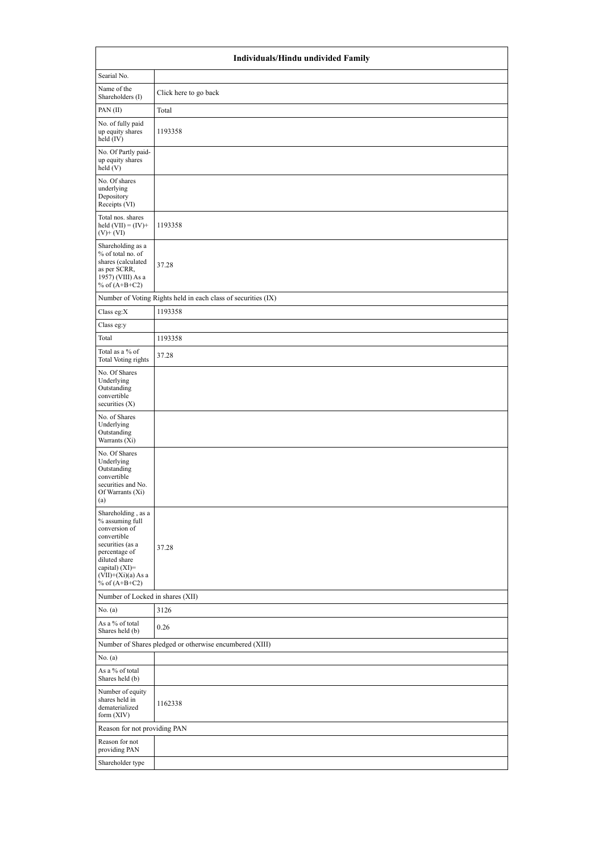|                                                                                                                                                                                          | Individuals/Hindu undivided Family                            |
|------------------------------------------------------------------------------------------------------------------------------------------------------------------------------------------|---------------------------------------------------------------|
| Searial No.                                                                                                                                                                              |                                                               |
| Name of the<br>Shareholders (I)                                                                                                                                                          | Click here to go back                                         |
| PAN(II)                                                                                                                                                                                  | Total                                                         |
| No. of fully paid<br>up equity shares<br>held (IV)                                                                                                                                       | 1193358                                                       |
| No. Of Partly paid-<br>up equity shares<br>held(V)                                                                                                                                       |                                                               |
| No. Of shares<br>underlying<br>Depository<br>Receipts (VI)                                                                                                                               |                                                               |
| Total nos. shares<br>held $(VII) = (IV) +$<br>$(V)$ + $(VI)$                                                                                                                             | 1193358                                                       |
| Shareholding as a<br>% of total no. of<br>shares (calculated<br>as per SCRR,<br>1957) (VIII) As a<br>% of $(A+B+C2)$                                                                     | 37.28                                                         |
|                                                                                                                                                                                          | Number of Voting Rights held in each class of securities (IX) |
| Class eg: $X$                                                                                                                                                                            | 1193358                                                       |
| Class eg:y                                                                                                                                                                               |                                                               |
| Total                                                                                                                                                                                    | 1193358                                                       |
| Total as a $\%$ of<br>Total Voting rights                                                                                                                                                | 37.28                                                         |
| No. Of Shares<br>Underlying<br>Outstanding<br>convertible<br>securities $(X)$                                                                                                            |                                                               |
| No. of Shares<br>Underlying<br>Outstanding<br>Warrants $(X_i)$                                                                                                                           |                                                               |
| No. Of Shares<br>Underlying<br>Outstanding<br>convertible<br>securities and No.<br>Of Warrants (Xi)<br>(a)                                                                               |                                                               |
| Shareholding, as a<br>% assuming full<br>conversion of<br>convertible<br>securities (as a<br>percentage of<br>diluted share<br>capital) (XI)=<br>$(VII)+(Xi)(a)$ As a<br>% of $(A+B+C2)$ | 37.28                                                         |
| Number of Locked in shares (XII)                                                                                                                                                         |                                                               |
| No. (a)                                                                                                                                                                                  | 3126                                                          |
| As a % of total<br>Shares held (b)                                                                                                                                                       | 0.26                                                          |
|                                                                                                                                                                                          | Number of Shares pledged or otherwise encumbered (XIII)       |
| No. (a)                                                                                                                                                                                  |                                                               |
| As a % of total<br>Shares held (b)                                                                                                                                                       |                                                               |
| Number of equity<br>shares held in<br>dematerialized<br>form (XIV)                                                                                                                       | 1162338                                                       |
| Reason for not providing PAN                                                                                                                                                             |                                                               |
| Reason for not<br>providing PAN                                                                                                                                                          |                                                               |
|                                                                                                                                                                                          |                                                               |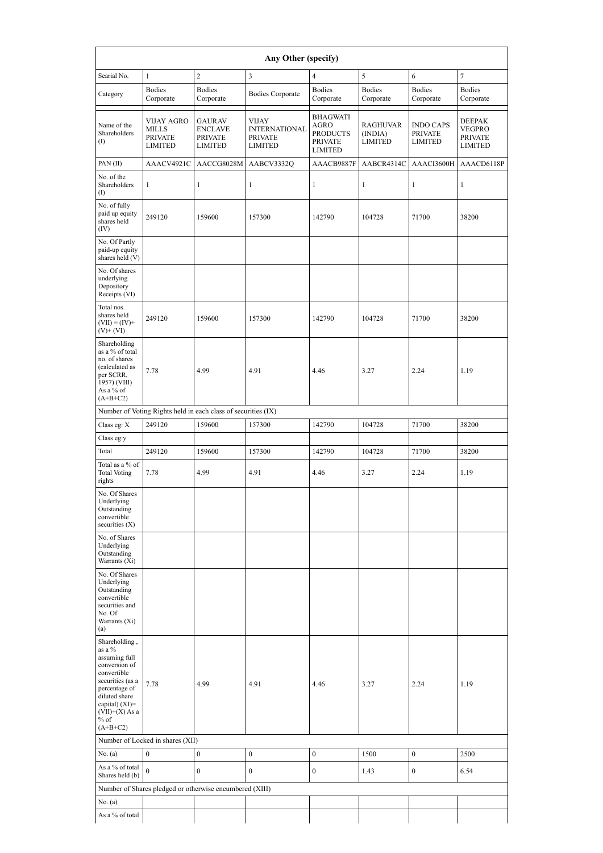| Any Other (specify)                                                                                                                                                                            |                                                                       |                                                                     |                                                                          |                                                                                |                                              |                                                      |                                                      |  |  |  |  |  |
|------------------------------------------------------------------------------------------------------------------------------------------------------------------------------------------------|-----------------------------------------------------------------------|---------------------------------------------------------------------|--------------------------------------------------------------------------|--------------------------------------------------------------------------------|----------------------------------------------|------------------------------------------------------|------------------------------------------------------|--|--|--|--|--|
| Searial No.                                                                                                                                                                                    | 1                                                                     | $\sqrt{2}$                                                          | 3                                                                        | $\overline{4}$                                                                 | 5                                            | 6                                                    | 7                                                    |  |  |  |  |  |
| Category                                                                                                                                                                                       | <b>Bodies</b><br>Corporate                                            | <b>Bodies</b><br>Corporate                                          | <b>Bodies Corporate</b>                                                  | <b>Bodies</b><br>Corporate                                                     | <b>Bodies</b><br>Corporate                   | <b>Bodies</b><br>Corporate                           | <b>Bodies</b><br>Corporate                           |  |  |  |  |  |
| Name of the<br>Shareholders<br>$\rm (I)$                                                                                                                                                       | <b>VIJAY AGRO</b><br><b>MILLS</b><br><b>PRIVATE</b><br><b>LIMITED</b> | <b>GAURAV</b><br><b>ENCLAVE</b><br><b>PRIVATE</b><br><b>LIMITED</b> | <b>VIJAY</b><br><b>INTERNATIONAL</b><br><b>PRIVATE</b><br><b>LIMITED</b> | <b>BHAGWATI</b><br>AGRO<br><b>PRODUCTS</b><br><b>PRIVATE</b><br><b>LIMITED</b> | <b>RAGHUVAR</b><br>(INDIA)<br><b>LIMITED</b> | <b>INDO CAPS</b><br><b>PRIVATE</b><br><b>LIMITED</b> | <b>DEEPAK</b><br>VEGPRO<br><b>PRIVATE</b><br>LIMITED |  |  |  |  |  |
| PAN(II)                                                                                                                                                                                        | AAACV4921C                                                            | AACCG8028M                                                          | AABCV3332Q                                                               | AAACB9887F                                                                     | AABCR4314C                                   | AAACI3600H                                           | AAACD6118P                                           |  |  |  |  |  |
| No. of the<br>Shareholders<br>$\rm _{(I)}$                                                                                                                                                     | 1                                                                     | $\mathbf{1}$                                                        | $\mathbf{1}$                                                             | 1                                                                              | $\mathbf{1}$                                 | $\mathbf{1}$                                         | $\mathbf{1}$                                         |  |  |  |  |  |
| No. of fully<br>paid up equity<br>shares held<br>(IV)                                                                                                                                          | 249120                                                                | 159600                                                              | 157300                                                                   | 142790                                                                         | 104728                                       | 71700                                                | 38200                                                |  |  |  |  |  |
| No. Of Partly<br>paid-up equity<br>shares held (V)                                                                                                                                             |                                                                       |                                                                     |                                                                          |                                                                                |                                              |                                                      |                                                      |  |  |  |  |  |
| No. Of shares<br>underlying<br>Depository<br>Receipts (VI)                                                                                                                                     |                                                                       |                                                                     |                                                                          |                                                                                |                                              |                                                      |                                                      |  |  |  |  |  |
| Total nos.<br>shares held<br>$(VII) = (IV) +$<br>$(V)+(VI)$                                                                                                                                    | 249120                                                                | 159600                                                              | 157300                                                                   | 142790                                                                         | 104728                                       | 71700                                                | 38200                                                |  |  |  |  |  |
| Shareholding<br>as a % of total<br>no. of shares<br>(calculated as<br>per SCRR,<br>1957) (VIII)<br>As a % of<br>$(A+B+C2)$                                                                     | 7.78                                                                  | 4.99                                                                | 4.91                                                                     | 4.46                                                                           | 3.27                                         | 2.24                                                 | 1.19                                                 |  |  |  |  |  |
| Number of Voting Rights held in each class of securities (IX)                                                                                                                                  |                                                                       |                                                                     |                                                                          |                                                                                |                                              |                                                      |                                                      |  |  |  |  |  |
| Class eg: X                                                                                                                                                                                    | 249120                                                                | 159600                                                              | 157300                                                                   | 142790                                                                         | 104728                                       | 71700                                                | 38200                                                |  |  |  |  |  |
| Class eg:y                                                                                                                                                                                     |                                                                       |                                                                     |                                                                          |                                                                                |                                              |                                                      |                                                      |  |  |  |  |  |
| Total                                                                                                                                                                                          | 249120                                                                | 159600                                                              | 157300                                                                   | 142790                                                                         | 104728                                       | 71700                                                | 38200                                                |  |  |  |  |  |
| Total as a $\%$ of<br><b>Total Voting</b><br>rights                                                                                                                                            | 7.78                                                                  | 4.99                                                                | 4.91                                                                     | 4.46                                                                           | 3.27                                         | 2.24                                                 | 1.19                                                 |  |  |  |  |  |
| No. Of Shares<br>Underlying<br>Outstanding<br>convertible<br>securities $(X)$                                                                                                                  |                                                                       |                                                                     |                                                                          |                                                                                |                                              |                                                      |                                                      |  |  |  |  |  |
| No. of Shares<br>Underlying<br>Outstanding<br>Warrants (Xi)                                                                                                                                    |                                                                       |                                                                     |                                                                          |                                                                                |                                              |                                                      |                                                      |  |  |  |  |  |
| No. Of Shares<br>Underlying<br>Outstanding<br>convertible<br>securities and<br>No. Of<br>Warrants (Xi)<br>(a)                                                                                  |                                                                       |                                                                     |                                                                          |                                                                                |                                              |                                                      |                                                      |  |  |  |  |  |
| Shareholding,<br>as a %<br>assuming full<br>conversion of<br>convertible<br>securities (as a<br>percentage of<br>diluted share<br>capital) $(XI)=$<br>$(VII)+(X)$ As a<br>$%$ of<br>$(A+B+C2)$ | 7.78                                                                  | 4.99                                                                | 4.91                                                                     | 4.46                                                                           | 3.27                                         | 2.24                                                 | 1.19                                                 |  |  |  |  |  |
|                                                                                                                                                                                                | Number of Locked in shares (XII)                                      |                                                                     |                                                                          |                                                                                |                                              |                                                      |                                                      |  |  |  |  |  |
| No. (a)<br>As a % of total<br>Shares held (b)                                                                                                                                                  | $\boldsymbol{0}$<br>$\theta$                                          | $\boldsymbol{0}$<br>$\mathbf{0}$                                    | $\boldsymbol{0}$<br>$\mathbf{0}$                                         | $\boldsymbol{0}$<br>$\boldsymbol{0}$                                           | 1500<br>1.43                                 | $\mathbf{0}$<br>$\mathbf{0}$                         | 2500<br>6.54                                         |  |  |  |  |  |
|                                                                                                                                                                                                |                                                                       | Number of Shares pledged or otherwise encumbered (XIII)             |                                                                          |                                                                                |                                              |                                                      |                                                      |  |  |  |  |  |
| No. (a)                                                                                                                                                                                        |                                                                       |                                                                     |                                                                          |                                                                                |                                              |                                                      |                                                      |  |  |  |  |  |
| As a % of total                                                                                                                                                                                |                                                                       |                                                                     |                                                                          |                                                                                |                                              |                                                      |                                                      |  |  |  |  |  |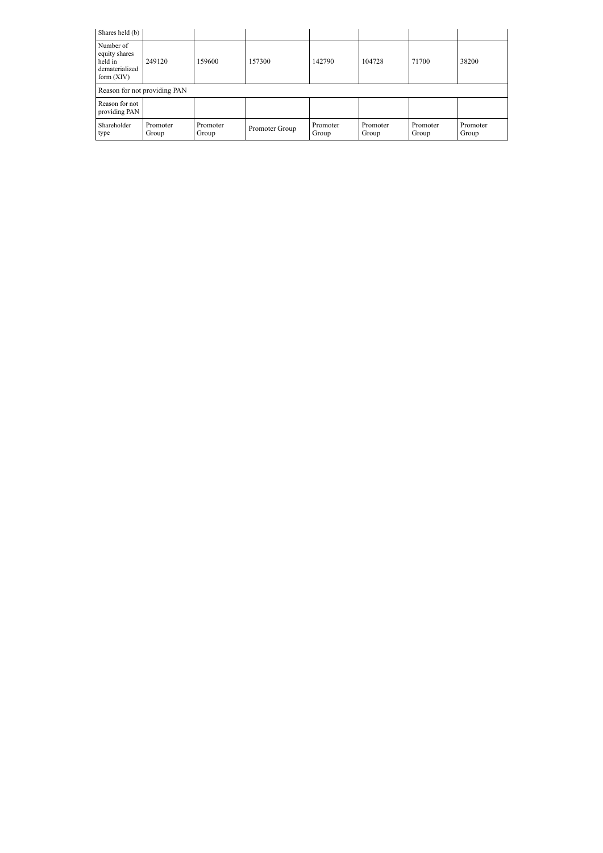| Shares held (b)                                                         |                              |                   |                |                   |                   |                   |                   |  |  |  |  |
|-------------------------------------------------------------------------|------------------------------|-------------------|----------------|-------------------|-------------------|-------------------|-------------------|--|--|--|--|
| Number of<br>equity shares<br>held in<br>dematerialized<br>form $(XIV)$ | 249120                       | 159600            | 157300         | 142790            | 104728            | 71700             | 38200             |  |  |  |  |
|                                                                         | Reason for not providing PAN |                   |                |                   |                   |                   |                   |  |  |  |  |
| Reason for not<br>providing PAN                                         |                              |                   |                |                   |                   |                   |                   |  |  |  |  |
| Shareholder<br>type                                                     | Promoter<br>Group            | Promoter<br>Group | Promoter Group | Promoter<br>Group | Promoter<br>Group | Promoter<br>Group | Promoter<br>Group |  |  |  |  |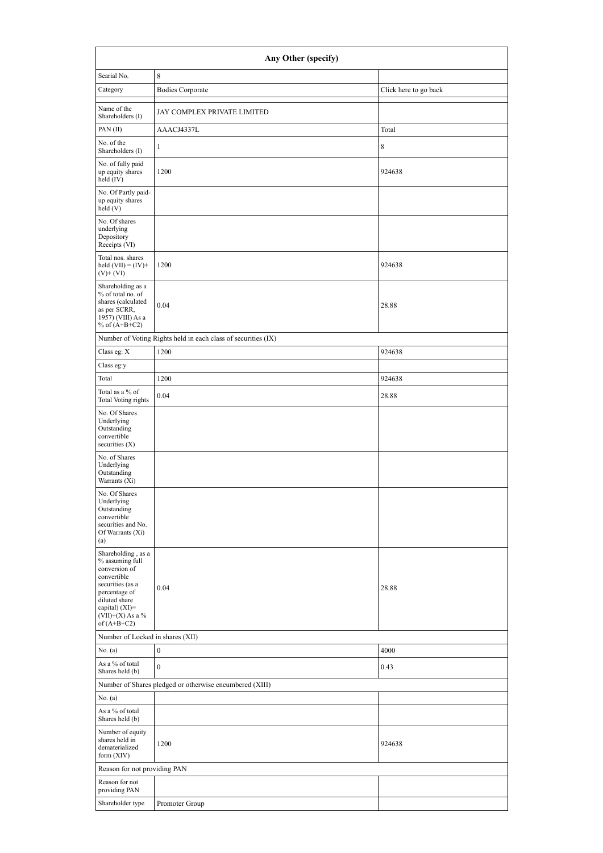|                                                                                                                                                                                      | Any Other (specify)                                           |                       |
|--------------------------------------------------------------------------------------------------------------------------------------------------------------------------------------|---------------------------------------------------------------|-----------------------|
| Searial No.                                                                                                                                                                          | 8                                                             |                       |
| Category                                                                                                                                                                             | <b>Bodies Corporate</b>                                       | Click here to go back |
| Name of the<br>Shareholders (I)                                                                                                                                                      | JAY COMPLEX PRIVATE LIMITED                                   |                       |
| PAN(II)                                                                                                                                                                              | AAACJ4337L                                                    | Total                 |
| No. of the<br>Shareholders (I)                                                                                                                                                       | 1                                                             | 8                     |
| No. of fully paid<br>up equity shares<br>held (IV)                                                                                                                                   | 1200                                                          | 924638                |
| No. Of Partly paid-<br>up equity shares<br>held (V)                                                                                                                                  |                                                               |                       |
| No. Of shares<br>underlying<br>Depository<br>Receipts (VI)                                                                                                                           |                                                               |                       |
| Total nos. shares<br>held $(VII) = (IV) +$<br>$(V)+(VI)$                                                                                                                             | 1200                                                          | 924638                |
| Shareholding as a<br>% of total no. of<br>shares (calculated<br>as per SCRR,<br>1957) (VIII) As a<br>% of $(A+B+C2)$                                                                 | 0.04                                                          | 28.88                 |
|                                                                                                                                                                                      | Number of Voting Rights held in each class of securities (IX) |                       |
| Class eg: X                                                                                                                                                                          | 1200                                                          | 924638                |
| Class eg:y                                                                                                                                                                           |                                                               |                       |
| Total                                                                                                                                                                                | 1200                                                          | 924638                |
| Total as a % of<br>Total Voting rights                                                                                                                                               | 0.04                                                          | 28.88                 |
| No. Of Shares<br>Underlying<br>Outstanding<br>convertible<br>securities $(X)$                                                                                                        |                                                               |                       |
| No. of Shares<br>Underlying<br>Outstanding<br>Warrants (Xi)                                                                                                                          |                                                               |                       |
| No. Of Shares<br>Underlying<br>Outstanding<br>convertible<br>securities and No.<br>Of Warrants (Xi)<br>(a)                                                                           |                                                               |                       |
| Shareholding, as a<br>% assuming full<br>conversion of<br>convertible<br>securities (as a<br>percentage of<br>diluted share<br>capital) (XI)=<br>$(VII)+(X)$ As a %<br>of $(A+B+C2)$ | 0.04                                                          | 28.88                 |
| Number of Locked in shares (XII)                                                                                                                                                     |                                                               |                       |
| No. (a)                                                                                                                                                                              | $\boldsymbol{0}$                                              | 4000                  |
| As a % of total<br>Shares held (b)                                                                                                                                                   | $\overline{0}$                                                | 0.43                  |
|                                                                                                                                                                                      | Number of Shares pledged or otherwise encumbered (XIII)       |                       |
| No. (a)                                                                                                                                                                              |                                                               |                       |
| As a % of total<br>Shares held (b)                                                                                                                                                   |                                                               |                       |
| Number of equity<br>shares held in<br>dematerialized<br>form $(XIV)$                                                                                                                 | 1200                                                          | 924638                |
| Reason for not providing PAN                                                                                                                                                         |                                                               |                       |
|                                                                                                                                                                                      |                                                               |                       |
| Reason for not<br>providing PAN                                                                                                                                                      |                                                               |                       |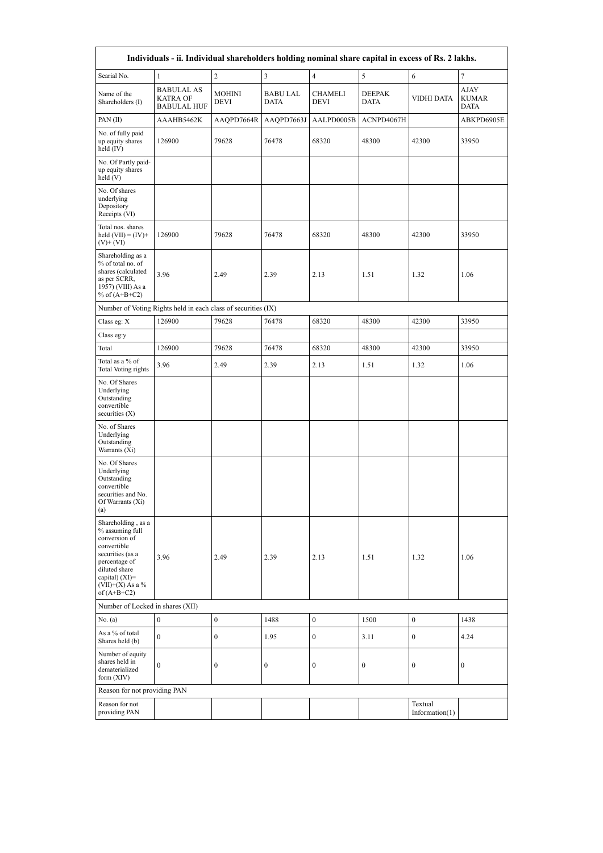| Individuals - ii. Individual shareholders holding nominal share capital in excess of Rs. 2 lakhs.                                                                                    |                                                               |                       |                                |                               |                       |                           |                                     |  |  |  |  |
|--------------------------------------------------------------------------------------------------------------------------------------------------------------------------------------|---------------------------------------------------------------|-----------------------|--------------------------------|-------------------------------|-----------------------|---------------------------|-------------------------------------|--|--|--|--|
| Searial No.                                                                                                                                                                          | $\mathbf{1}$                                                  | $\sqrt{2}$            | $\mathfrak{Z}$                 | $\sqrt{4}$                    | 5                     | 6                         | $\tau$                              |  |  |  |  |
| Name of the<br>Shareholders (I)                                                                                                                                                      | <b>BABULAL AS</b><br>KATRA OF<br><b>BABULAL HUF</b>           | <b>MOHINI</b><br>DEVI | <b>BABU LAL</b><br><b>DATA</b> | <b>CHAMELI</b><br><b>DEVI</b> | <b>DEEPAK</b><br>DATA | VIDHI DATA                | AJAY<br><b>KUMAR</b><br><b>DATA</b> |  |  |  |  |
| PAN(II)                                                                                                                                                                              | AAAHB5462K                                                    | AAQPD7664R            | AAQPD7663J                     | AALPD0005B                    | ACNPD4067H            |                           | ABKPD6905E                          |  |  |  |  |
| No. of fully paid<br>up equity shares<br>held (IV)                                                                                                                                   | 126900                                                        | 79628                 | 76478                          | 68320                         | 48300                 | 42300                     | 33950                               |  |  |  |  |
| No. Of Partly paid-<br>up equity shares<br>held(V)                                                                                                                                   |                                                               |                       |                                |                               |                       |                           |                                     |  |  |  |  |
| No. Of shares<br>underlying<br>Depository<br>Receipts (VI)                                                                                                                           |                                                               |                       |                                |                               |                       |                           |                                     |  |  |  |  |
| Total nos. shares<br>held $(VII) = (IV) +$<br>$(V)+(VI)$                                                                                                                             | 126900                                                        | 79628                 | 76478<br>68320                 |                               | 48300                 | 42300                     | 33950                               |  |  |  |  |
| Shareholding as a<br>% of total no. of<br>shares (calculated<br>as per SCRR,<br>1957) (VIII) As a<br>% of $(A+B+C2)$                                                                 | 3.96                                                          | 2.49                  | 2.39                           | 2.13<br>1.51                  |                       | 1.32                      | 1.06                                |  |  |  |  |
|                                                                                                                                                                                      | Number of Voting Rights held in each class of securities (IX) |                       |                                |                               |                       |                           |                                     |  |  |  |  |
| Class eg: X                                                                                                                                                                          | 126900                                                        | 79628                 | 76478                          | 68320                         | 48300                 | 42300                     | 33950                               |  |  |  |  |
| Class eg:y                                                                                                                                                                           |                                                               |                       |                                |                               |                       |                           |                                     |  |  |  |  |
| Total                                                                                                                                                                                | 126900                                                        | 79628                 | 76478                          | 68320                         | 48300                 | 42300                     | 33950                               |  |  |  |  |
| Total as a % of<br><b>Total Voting rights</b>                                                                                                                                        | 3.96                                                          | 2.49                  | 2.39                           | 2.13                          | 1.51                  | 1.32                      | 1.06                                |  |  |  |  |
| No. Of Shares<br>Underlying<br>Outstanding<br>convertible<br>securities $(X)$                                                                                                        |                                                               |                       |                                |                               |                       |                           |                                     |  |  |  |  |
| No. of Shares<br>Underlying<br>Outstanding<br>Warrants (Xi)                                                                                                                          |                                                               |                       |                                |                               |                       |                           |                                     |  |  |  |  |
| No. Of Shares<br>Underlying<br>Outstanding<br>convertible<br>securities and No.<br>Of Warrants $(Xi)$<br>(a)                                                                         |                                                               |                       |                                |                               |                       |                           |                                     |  |  |  |  |
| Shareholding, as a<br>% assuming full<br>conversion of<br>convertible<br>securities (as a<br>percentage of<br>diluted share<br>capital) (XI)=<br>$(VII)+(X)$ As a %<br>of $(A+B+C2)$ | 3.96                                                          | 2.49                  | 2.39                           | 2.13                          | 1.51                  | 1.32                      | 1.06                                |  |  |  |  |
| Number of Locked in shares (XII)                                                                                                                                                     |                                                               |                       |                                |                               |                       |                           |                                     |  |  |  |  |
| No. (a)                                                                                                                                                                              | $\boldsymbol{0}$                                              | $\boldsymbol{0}$      | 1488                           | $\boldsymbol{0}$              | 1500                  | $\boldsymbol{0}$          | 1438                                |  |  |  |  |
| As a % of total<br>Shares held (b)                                                                                                                                                   | $\mathbf{0}$                                                  | $\mathbf{0}$          | 1.95                           | $\mathbf{0}$                  | 3.11                  | $\boldsymbol{0}$          | 4.24                                |  |  |  |  |
| Number of equity<br>shares held in<br>dematerialized<br>form $(XIV)$                                                                                                                 | $\boldsymbol{0}$                                              | $\bf{0}$              | $\boldsymbol{0}$               | $\boldsymbol{0}$              | 0                     | $\boldsymbol{0}$          | $\boldsymbol{0}$                    |  |  |  |  |
| Reason for not providing PAN                                                                                                                                                         |                                                               |                       |                                |                               |                       |                           |                                     |  |  |  |  |
| Reason for not<br>providing PAN                                                                                                                                                      |                                                               |                       |                                |                               |                       | Textual<br>Information(1) |                                     |  |  |  |  |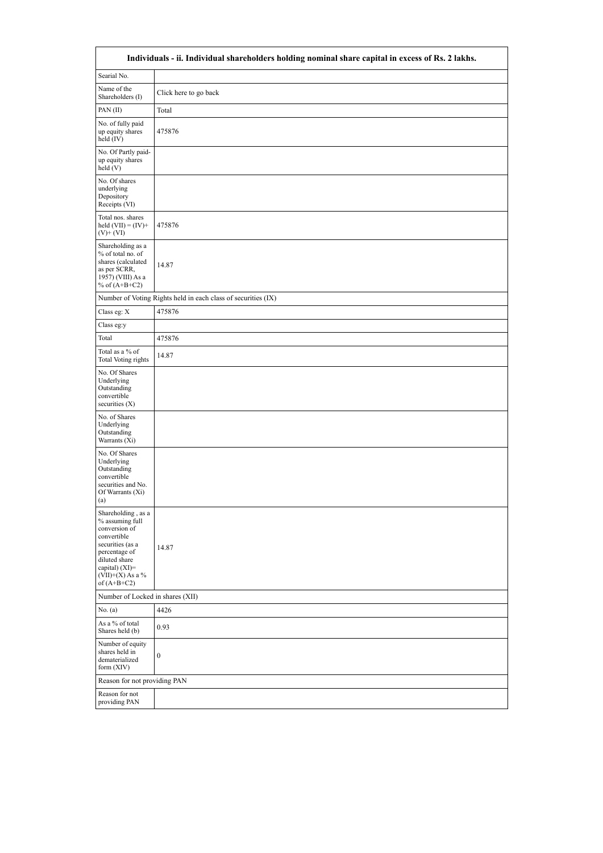|                                                                                                                                                                                      | Individuals - ii. Individual shareholders holding nominal share capital in excess of Rs. 2 lakhs. |
|--------------------------------------------------------------------------------------------------------------------------------------------------------------------------------------|---------------------------------------------------------------------------------------------------|
| Searial No.                                                                                                                                                                          |                                                                                                   |
| Name of the<br>Shareholders (I)                                                                                                                                                      | Click here to go back                                                                             |
| PAN(II)                                                                                                                                                                              | Total                                                                                             |
| No. of fully paid<br>up equity shares<br>held (IV)                                                                                                                                   | 475876                                                                                            |
| No. Of Partly paid-<br>up equity shares<br>held (V)                                                                                                                                  |                                                                                                   |
| No. Of shares<br>underlying<br>Depository<br>Receipts (VI)                                                                                                                           |                                                                                                   |
| Total nos. shares<br>held $(VII) = (IV) +$<br>$(V)+(VI)$                                                                                                                             | 475876                                                                                            |
| Shareholding as a<br>% of total no. of<br>shares (calculated<br>as per SCRR,<br>1957) (VIII) As a<br>% of $(A+B+C2)$                                                                 | 14.87                                                                                             |
|                                                                                                                                                                                      | Number of Voting Rights held in each class of securities (IX)                                     |
| Class eg: X                                                                                                                                                                          | 475876                                                                                            |
| Class eg:y                                                                                                                                                                           |                                                                                                   |
| Total                                                                                                                                                                                | 475876                                                                                            |
| Total as a % of<br><b>Total Voting rights</b>                                                                                                                                        | 14.87                                                                                             |
| No. Of Shares<br>Underlying<br>Outstanding<br>convertible<br>securities $(X)$                                                                                                        |                                                                                                   |
| No. of Shares<br>Underlying<br>Outstanding<br>Warrants (Xi)                                                                                                                          |                                                                                                   |
| No. Of Shares<br>Underlying<br>Outstanding<br>convertible<br>securities and No.<br>Of Warrants (Xi)<br>(a)                                                                           |                                                                                                   |
| Shareholding, as a<br>% assuming full<br>conversion of<br>convertible<br>securities (as a<br>percentage of<br>diluted share<br>capital) (XI)=<br>$(VII)+(X)$ As a %<br>of $(A+B+C2)$ | 14.87                                                                                             |
| Number of Locked in shares (XII)                                                                                                                                                     |                                                                                                   |
| No. (a)                                                                                                                                                                              | 4426                                                                                              |
| As a % of total<br>Shares held (b)                                                                                                                                                   | 0.93                                                                                              |
| Number of equity<br>shares held in<br>dematerialized<br>form (XIV)                                                                                                                   | $\boldsymbol{0}$                                                                                  |
| Reason for not providing PAN                                                                                                                                                         |                                                                                                   |
| Reason for not<br>providing PAN                                                                                                                                                      |                                                                                                   |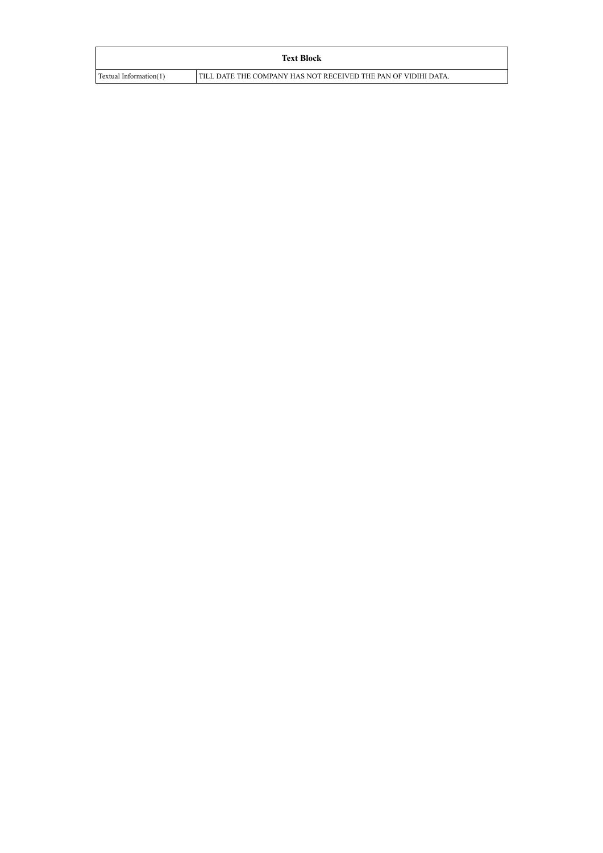|                        | <b>Text Block</b>                                              |
|------------------------|----------------------------------------------------------------|
| Textual Information(1) | TILL DATE THE COMPANY HAS NOT RECEIVED THE PAN OF VIDIHI DATA. |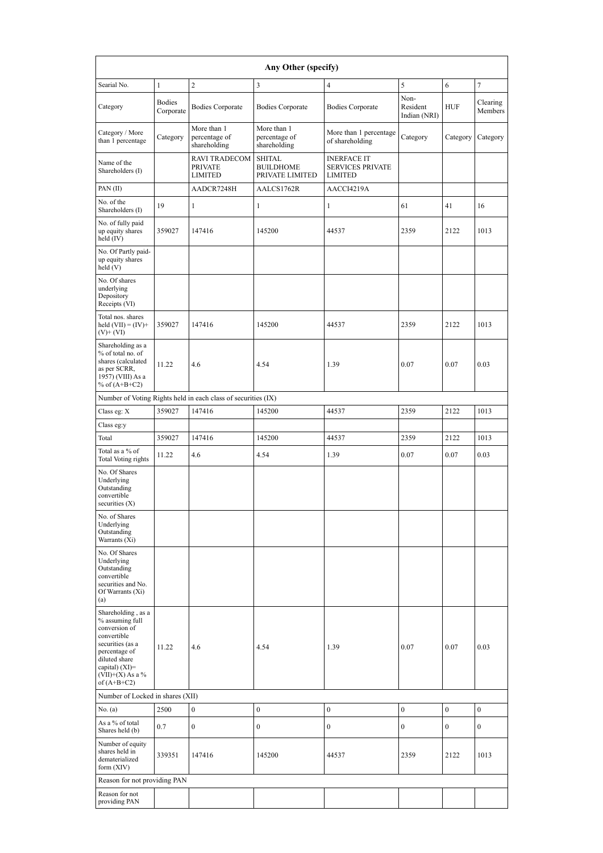| Any Other (specify)                                                                                                                                                                  |                                                       |                                                               |                                                      |                                                                 |                                  |                  |                     |  |  |  |  |
|--------------------------------------------------------------------------------------------------------------------------------------------------------------------------------------|-------------------------------------------------------|---------------------------------------------------------------|------------------------------------------------------|-----------------------------------------------------------------|----------------------------------|------------------|---------------------|--|--|--|--|
| Searial No.                                                                                                                                                                          | 1                                                     | $\overline{c}$                                                | 3                                                    | $\overline{4}$                                                  | 5                                | 6                | $\overline{7}$      |  |  |  |  |
| Category                                                                                                                                                                             | <b>Bodies</b><br><b>Bodies Corporate</b><br>Corporate |                                                               | <b>Bodies Corporate</b>                              | <b>Bodies Corporate</b>                                         | Non-<br>Resident<br>Indian (NRI) | <b>HUF</b>       | Clearing<br>Members |  |  |  |  |
| More than 1<br>Category / More<br>Category<br>percentage of<br>than 1 percentage<br>shareholding                                                                                     |                                                       | More than 1<br>percentage of<br>shareholding                  | More than 1 percentage<br>of shareholding            | Category                                                        | Category                         | Category         |                     |  |  |  |  |
| Name of the<br>Shareholders (I)                                                                                                                                                      |                                                       | <b>RAVI TRADECOM</b><br><b>PRIVATE</b><br><b>LIMITED</b>      | <b>SHITAL</b><br><b>BUILDHOME</b><br>PRIVATE LIMITED | <b>INERFACE IT</b><br><b>SERVICES PRIVATE</b><br><b>LIMITED</b> |                                  |                  |                     |  |  |  |  |
| PAN(II)                                                                                                                                                                              |                                                       | AADCR7248H                                                    | AALCS1762R                                           | AACCI4219A                                                      |                                  |                  |                     |  |  |  |  |
| No. of the<br>Shareholders (I)                                                                                                                                                       | 19                                                    | $\mathbf{1}$                                                  | 1                                                    | $\mathbf{1}$                                                    | 61                               | 41               | 16                  |  |  |  |  |
| No. of fully paid<br>up equity shares<br>held (IV)                                                                                                                                   | 359027                                                | 147416                                                        | 145200                                               | 44537                                                           | 2359                             | 2122             | 1013                |  |  |  |  |
| No. Of Partly paid-<br>up equity shares<br>held (V)                                                                                                                                  |                                                       |                                                               |                                                      |                                                                 |                                  |                  |                     |  |  |  |  |
| No. Of shares<br>underlying<br>Depository<br>Receipts (VI)                                                                                                                           |                                                       |                                                               |                                                      |                                                                 |                                  |                  |                     |  |  |  |  |
| Total nos. shares<br>held $(VII) = (IV) +$<br>$(V)$ + (VI)                                                                                                                           | 359027                                                | 147416                                                        | 145200                                               | 44537                                                           | 2359                             | 2122             | 1013                |  |  |  |  |
| Shareholding as a<br>% of total no. of<br>shares (calculated<br>as per SCRR,<br>1957) (VIII) As a<br>% of $(A+B+C2)$                                                                 | 11.22<br>4.6                                          |                                                               | 4.54<br>1.39                                         |                                                                 | 0.07<br>0.07                     |                  | 0.03                |  |  |  |  |
|                                                                                                                                                                                      |                                                       | Number of Voting Rights held in each class of securities (IX) |                                                      |                                                                 |                                  |                  |                     |  |  |  |  |
| Class eg: X                                                                                                                                                                          | 359027                                                | 147416                                                        | 145200                                               | 44537                                                           | 2359                             | 2122             | 1013                |  |  |  |  |
| Class eg:y                                                                                                                                                                           |                                                       |                                                               |                                                      |                                                                 |                                  |                  |                     |  |  |  |  |
| Total                                                                                                                                                                                | 359027                                                | 147416                                                        | 145200                                               | 44537                                                           | 2359                             | 2122             | 1013                |  |  |  |  |
| Total as a % of<br><b>Total Voting rights</b>                                                                                                                                        | 11.22                                                 | 4.6                                                           | 4.54                                                 | 1.39                                                            | 0.07                             | 0.07             | 0.03                |  |  |  |  |
| No. Of Shares<br>Underlying<br>Outstanding<br>convertible<br>securities $(X)$                                                                                                        |                                                       |                                                               |                                                      |                                                                 |                                  |                  |                     |  |  |  |  |
| No. of Shares<br>Underlying<br>Outstanding<br>Warrants (Xi)                                                                                                                          |                                                       |                                                               |                                                      |                                                                 |                                  |                  |                     |  |  |  |  |
| No. Of Shares<br>Underlying<br>Outstanding<br>convertible<br>securities and No.<br>Of Warrants (Xi)<br>(a)                                                                           |                                                       |                                                               |                                                      |                                                                 |                                  |                  |                     |  |  |  |  |
| Shareholding, as a<br>% assuming full<br>conversion of<br>convertible<br>securities (as a<br>percentage of<br>diluted share<br>capital) (XI)=<br>$(VII)+(X)$ As a %<br>of $(A+B+C2)$ | 11.22                                                 | 4.6                                                           | 4.54                                                 | 1.39                                                            | 0.07                             | 0.07             | 0.03                |  |  |  |  |
| Number of Locked in shares (XII)                                                                                                                                                     |                                                       |                                                               |                                                      |                                                                 |                                  |                  |                     |  |  |  |  |
| No. (a)                                                                                                                                                                              | 2500                                                  | $\boldsymbol{0}$                                              | $\boldsymbol{0}$                                     | $\boldsymbol{0}$                                                | $\boldsymbol{0}$                 | $\boldsymbol{0}$ | $\boldsymbol{0}$    |  |  |  |  |
| As a % of total<br>Shares held (b)                                                                                                                                                   | 0.7                                                   | $\boldsymbol{0}$                                              | $\boldsymbol{0}$                                     | $\boldsymbol{0}$                                                | $\mathbf{0}$                     | $\mathbf{0}$     | $\mathbf{0}$        |  |  |  |  |
| Number of equity<br>shares held in<br>dematerialized<br>form (XIV)                                                                                                                   | 339351                                                | 147416                                                        | 145200                                               | 44537                                                           | 2359                             | 2122             | 1013                |  |  |  |  |
| Reason for not providing PAN                                                                                                                                                         |                                                       |                                                               |                                                      |                                                                 |                                  |                  |                     |  |  |  |  |
| Reason for not<br>providing PAN                                                                                                                                                      |                                                       |                                                               |                                                      |                                                                 |                                  |                  |                     |  |  |  |  |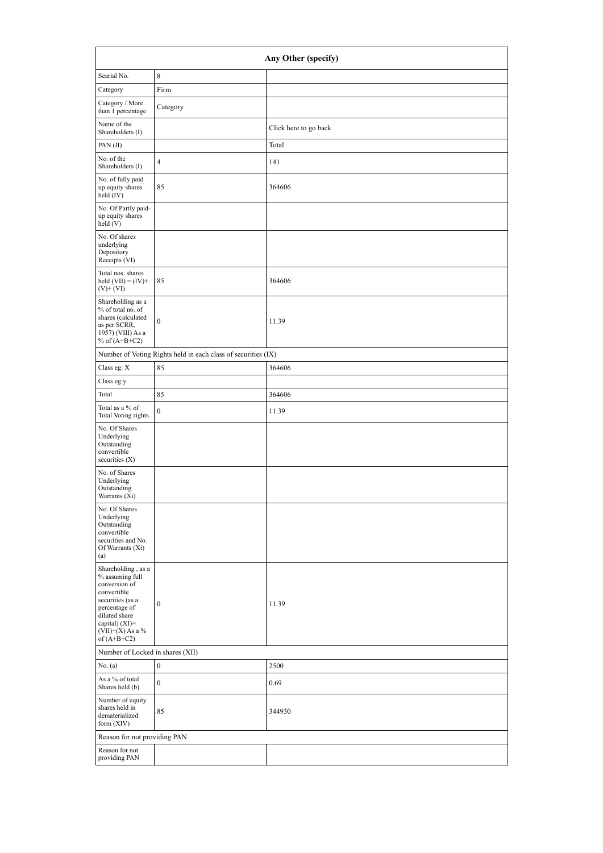| Searial No.                                                                                                                                                                          |                                                               |                       |  |
|--------------------------------------------------------------------------------------------------------------------------------------------------------------------------------------|---------------------------------------------------------------|-----------------------|--|
|                                                                                                                                                                                      | 8                                                             |                       |  |
| Category                                                                                                                                                                             | Firm                                                          |                       |  |
| Category / More<br>than 1 percentage                                                                                                                                                 | Category                                                      |                       |  |
| Name of the<br>Shareholders (I)                                                                                                                                                      |                                                               | Click here to go back |  |
| PAN(II)                                                                                                                                                                              |                                                               | Total                 |  |
| No. of the<br>Shareholders (I)                                                                                                                                                       | $\overline{4}$                                                | 141                   |  |
| No. of fully paid<br>up equity shares<br>held (IV)                                                                                                                                   | 85                                                            | 364606                |  |
| No. Of Partly paid-<br>up equity shares<br>held(V)                                                                                                                                   |                                                               |                       |  |
| No. Of shares<br>underlying<br>Depository<br>Receipts (VI)                                                                                                                           |                                                               |                       |  |
| Total nos. shares<br>held $(VII) = (IV) +$<br>$(V)+(VI)$                                                                                                                             | 85                                                            | 364606                |  |
| Shareholding as a<br>% of total no. of<br>shares (calculated<br>as per SCRR,<br>1957) (VIII) As a<br>% of $(A+B+C2)$                                                                 | $\mathbf{0}$                                                  | 11.39                 |  |
|                                                                                                                                                                                      | Number of Voting Rights held in each class of securities (IX) |                       |  |
| Class eg: X                                                                                                                                                                          | 85                                                            | 364606                |  |
| Class eg:y                                                                                                                                                                           |                                                               |                       |  |
| Total                                                                                                                                                                                | 85                                                            | 364606                |  |
| Total as a % of<br><b>Total Voting rights</b>                                                                                                                                        | $\boldsymbol{0}$                                              | 11.39                 |  |
| No. Of Shares<br>Underlying<br>Outstanding<br>convertible<br>securities $(X)$                                                                                                        |                                                               |                       |  |
| No. of Shares<br>Underlying<br>Outstanding<br>Warrants (Xi)                                                                                                                          |                                                               |                       |  |
| No. Of Shares<br>Underlying<br>Outstanding<br>convertible<br>securities and No.<br>Of Warrants (Xi)<br>(a)                                                                           |                                                               |                       |  |
| Shareholding, as a<br>% assuming full<br>conversion of<br>convertible<br>securities (as a<br>percentage of<br>diluted share<br>capital) (XI)=<br>$(VII)+(X)$ As a %<br>of $(A+B+C2)$ | $\mathbf{0}$                                                  | 11.39                 |  |
| Number of Locked in shares (XII)                                                                                                                                                     |                                                               |                       |  |
| No. (a)                                                                                                                                                                              | $\boldsymbol{0}$                                              | 2500                  |  |
| As a % of total<br>Shares held (b)                                                                                                                                                   | $\theta$                                                      | 0.69                  |  |
| Number of equity<br>shares held in<br>dematerialized                                                                                                                                 | 85                                                            | 344930                |  |
| form $(XIV)$                                                                                                                                                                         |                                                               |                       |  |
| Reason for not providing PAN                                                                                                                                                         |                                                               |                       |  |